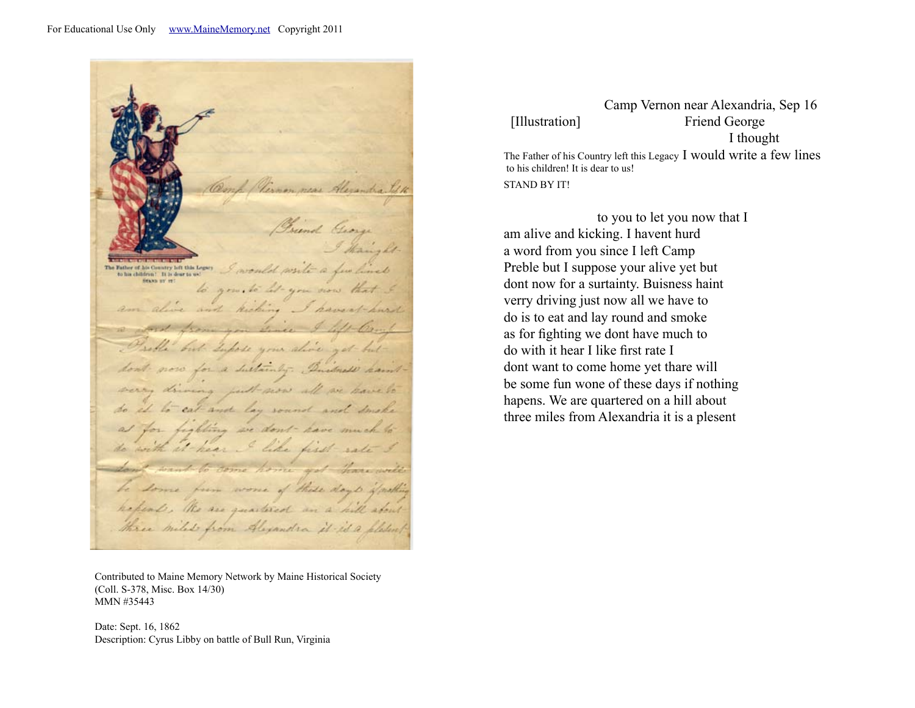One Vernon near Alexandra Brind George I thanks The Father of the Country left this Logary I would write a few lines HEARD BY THE to you, to let you now that and kicking I haven't hurd an Crise & Darlla but Lupose your alive get butdon't now for a sustainly. Duitmess haintverry driving put now all we have to do it to cat and lay sound and smake at for fighting we don't have much to do with it hear I like first sate I Louis want to come home got than will be some from worse of these days if nothing hepend . He are quartered an a hill aboutthree miles from Alexandra it is a pletent

Contributed to Maine Memory Network by Maine Historical Society (Coll. S-378, Misc. Box 14/30) MMN #35443

Date: Sept. 16, 1862 Description: Cyrus Libby on battle of Bull Run, Virginia

 Camp Vernon near Alexandria, Sep 16 [Illustration] Friend George I thought

The Father of his Country left this Legacy I would write a few lines to his children! It is dear to us! STAND BY IT!

 to you to let you now that I am alive and kicking. I havent hurd a word from you since I left Camp Preble but I suppose your alive yet but dont now for a surtainty. Buisness haint verry driving just now all we have to do is to eat and lay round and smoke as for fighting we dont have much to do with it hear I like first rate I dont want to come home yet thare will be some fun wone of these days if nothing hapens. We are quartered on a hill about three miles from Alexandria it is a plesent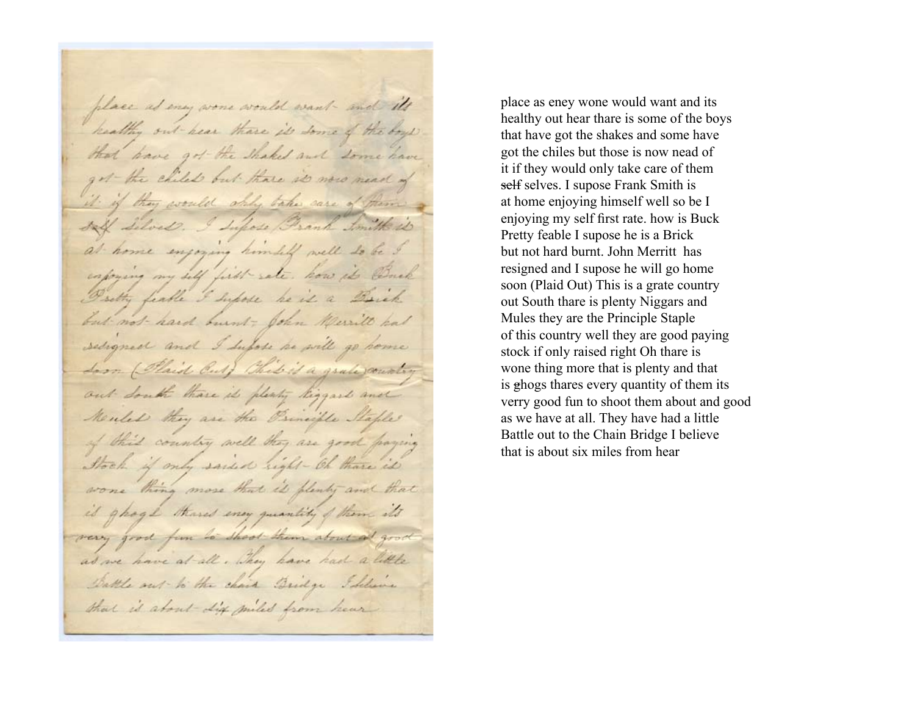place as eny wore would want - and its healthy out hear thave it some of the boys that have got the shaked and some have got the child but those is now mead of it if they would shall take care of them a saff Silves. I Lufose Brank Smith is at home enjoying himself well to be exprising my self first sate. how it Buck Postly feable I Suppose he is a Brick but not hard burnt ; John Merritt had seligned and I supose he will go home Loon (Plaid Cul) Chil is a grale country out South thave it plenty liggard and Meules they are the Principle Maple of this country well they are good paying Stock if only said sight - Oh thave it wone thing more that is plenty and that is ghoge thand ency quantity of them its very good fun to shoot them about at good as we have at all, They have had a little Dattle out to the chair Bridge I Seleine that is about Life miles from heur

place as eney wone would want and its healthy out hear thare is some of the boys that have got the shakes and some have got the chiles but those is now nead of it if they would only take care of them self selves. I supose Frank Smith is at home enjoying himself well so be I enjoying my self first rate. how is Buck Pretty feable I supose he is a Brick but not hard burnt. John Merritt has resigned and I supose he will go home soon (Plaid Out) This is a grate country out South thare is plenty Niggars and Mules they are the Principle Staple of this country well they are good paying stock if only raised right Oh thare is wone thing more that is plenty and that is ghogs thares every quantity of them its verry good fun to shoot them about and good as we have at all. They have had a little Battle out to the Chain Bridge I believe that is about six miles from hear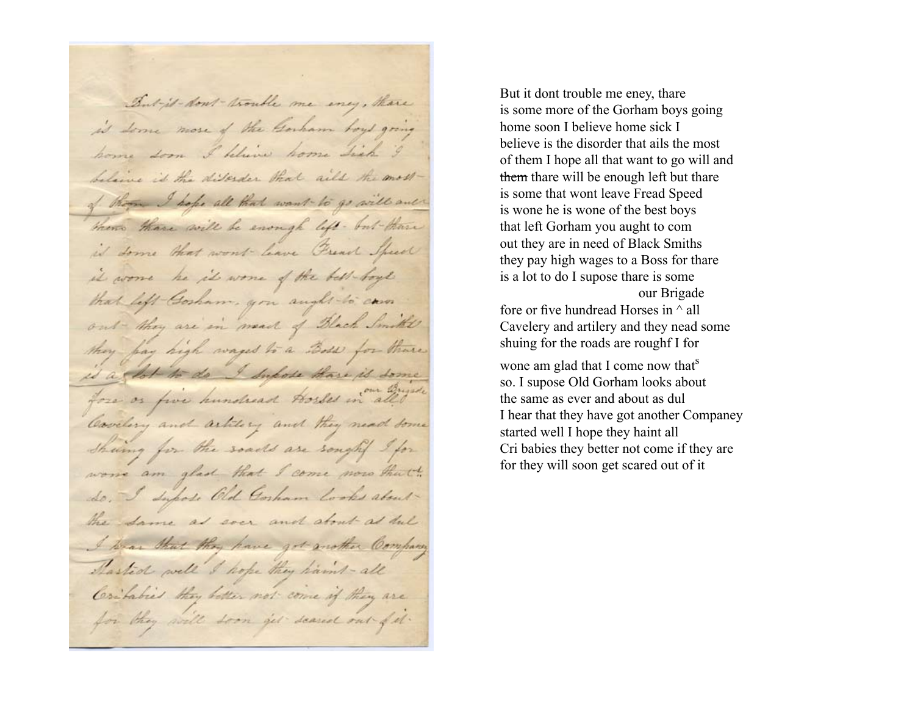But it - don't - trouble me ency, there is some more of the Gorham toys going home soon I believe home Lick I belaine is the disorder that ails the most of them I hope all that want to go will out there there will be enough left - but there is some that won't have French Speed it worse he it wone of the best-boyl that left Gosham, you aught to can out they are in mead of Black Smith's they pay high wages to a Boss for there is a flot to do I Supose those is some fore or five hundred Horses in all the Cavelery and artilery and they need some Sheing for the soads are sought I for wore am glad that I come now that do. I Supose Old Corham Cooks about the Same as soon and about as dul I know that they have got mother Company Started well I hope they haml-all Contabies they better not come if they are for they will soon get scared out of it.

But it dont trouble me eney, thare is some more of the Gorham boys going home soon I believe home sick I believe is the disorder that ails the most of them I hope all that want to go will and them thare will be enough left but thare is some that wont leave Fread Speed is wone he is wone of the best boys that left Gorham you aught to com out they are in need of Black Smiths they pay high wages to a Boss for thare is a lot to do I supose thare is some our Brigade

fore or five hundread Horses in  $\land$  all Cavelery and artilery and they nead some shuing for the roads are roughf I for

wone am glad that I come now that<sup>s</sup> so. I supose Old Gorham looks about the same as ever and about as dul I hear that they have got another Companey started well I hope they haint all Cri babies they better not come if they are for they will soon get scared out of it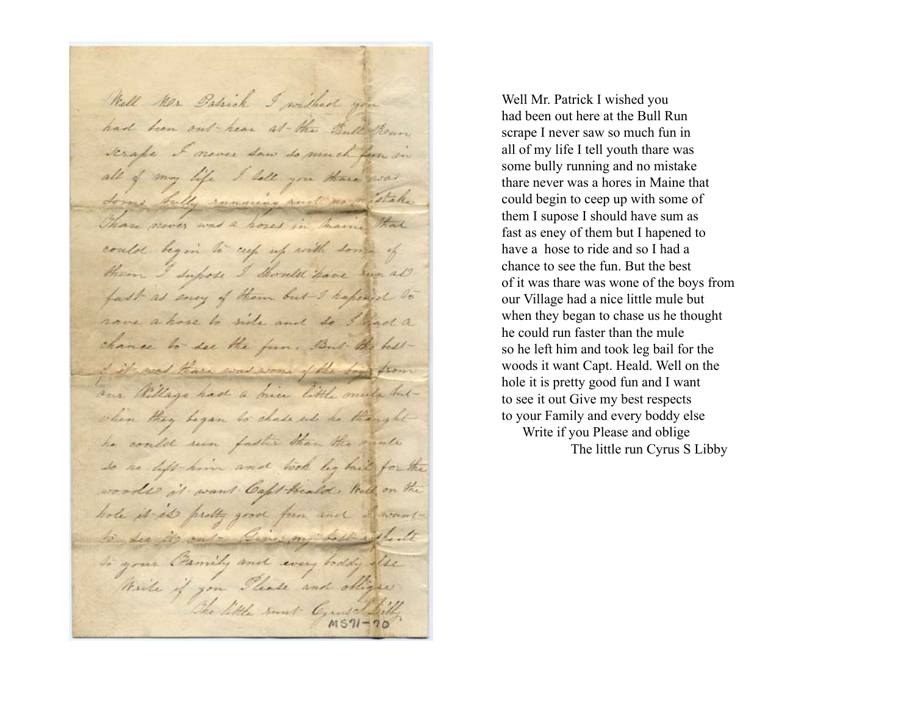Well Mr Patrick I without you had been out hear at the Bull Show scrape I never saw so much from in all of my life I lett you three was Some billy running and no oristake Those never was a hoses in maine that could begin to cup up with some of them I suppose I Should have sun all. fast as ency of them but I hapened to have a hose to side and so I had a chance to see the fun, But the hellof it was thave was worn of the Sog from aux Willage had a mice little mule butwhen they began to chase us he thought he could seen faster than the mule so he left him and look by built for the woods it want Capt Heald, Well, on the hole it is pretty good from and I wantto see it out - Binning both whate to your Gamily and every toddy also thirte if you Please and obliger The little sunt Grand Silly

Well Mr. Patrick I wished you had been out here at the Bull Run scrape I never saw so much fun in all of my life I tell youth thare was some bully running and no mistake thare never was a hores in Maine that could begin to ceep up with some of them I supose I should have sum as fast as eney of them but I hapened to have a hose to ride and so I had a chance to see the fun. But the best of it was thare was wone of the boys from our Village had a nice little mule but when they began to chase us he thought he could run faster than the mule so he left him and took leg bail for the woods it want Capt. Heald. Well on the hole it is pretty good fun and I want to see it out Give my best respects to your Family and every boddy else Write if you Please and oblige The little run Cyrus S Libby